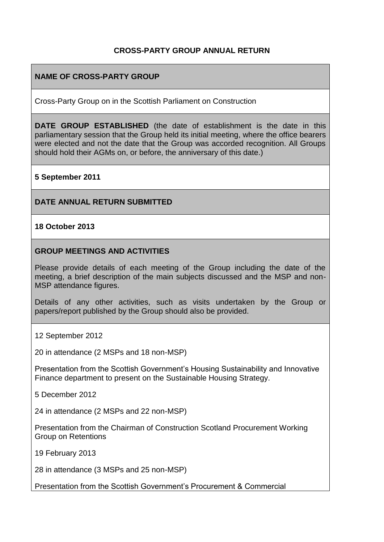# **CROSS-PARTY GROUP ANNUAL RETURN**

### **NAME OF CROSS-PARTY GROUP**

Cross-Party Group on in the Scottish Parliament on Construction

**DATE GROUP ESTABLISHED** (the date of establishment is the date in this parliamentary session that the Group held its initial meeting, where the office bearers were elected and not the date that the Group was accorded recognition. All Groups should hold their AGMs on, or before, the anniversary of this date.)

#### **5 September 2011**

#### **DATE ANNUAL RETURN SUBMITTED**

#### **18 October 2013**

#### **GROUP MEETINGS AND ACTIVITIES**

Please provide details of each meeting of the Group including the date of the meeting, a brief description of the main subjects discussed and the MSP and non-MSP attendance figures.

Details of any other activities, such as visits undertaken by the Group or papers/report published by the Group should also be provided.

12 September 2012

20 in attendance (2 MSPs and 18 non-MSP)

Presentation from the Scottish Government's Housing Sustainability and Innovative Finance department to present on the Sustainable Housing Strategy.

5 December 2012

24 in attendance (2 MSPs and 22 non-MSP)

Presentation from the Chairman of Construction Scotland Procurement Working Group on Retentions

19 February 2013

28 in attendance (3 MSPs and 25 non-MSP)

Presentation from the Scottish Government's Procurement & Commercial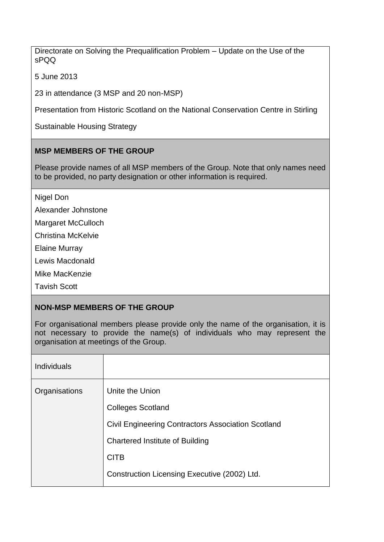Directorate on Solving the Prequalification Problem – Update on the Use of the sPQQ

5 June 2013

23 in attendance (3 MSP and 20 non-MSP)

Presentation from Historic Scotland on the National Conservation Centre in Stirling

Sustainable Housing Strategy

# **MSP MEMBERS OF THE GROUP**

Please provide names of all MSP members of the Group. Note that only names need to be provided, no party designation or other information is required.

Nigel Don

Alexander Johnstone

Margaret McCulloch

Christina McKelvie

Elaine Murray

Lewis Macdonald

Mike MacKenzie

Tavish Scott

# **NON-MSP MEMBERS OF THE GROUP**

For organisational members please provide only the name of the organisation, it is not necessary to provide the name(s) of individuals who may represent the organisation at meetings of the Group.

| <b>Individuals</b> |                                                           |
|--------------------|-----------------------------------------------------------|
| Organisations      | Unite the Union                                           |
|                    | <b>Colleges Scotland</b>                                  |
|                    | <b>Civil Engineering Contractors Association Scotland</b> |
|                    | <b>Chartered Institute of Building</b>                    |
|                    | <b>CITB</b>                                               |
|                    | Construction Licensing Executive (2002) Ltd.              |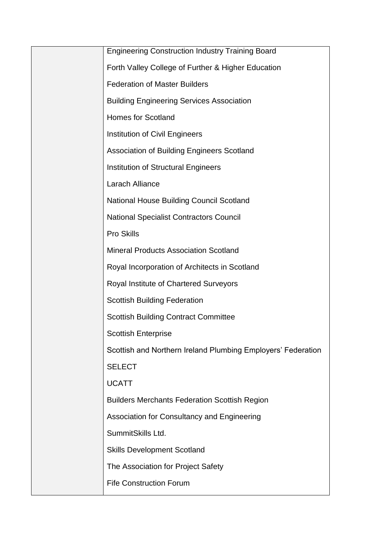| <b>Engineering Construction Industry Training Board</b>      |
|--------------------------------------------------------------|
| Forth Valley College of Further & Higher Education           |
| <b>Federation of Master Builders</b>                         |
| <b>Building Engineering Services Association</b>             |
| <b>Homes for Scotland</b>                                    |
| Institution of Civil Engineers                               |
| <b>Association of Building Engineers Scotland</b>            |
| <b>Institution of Structural Engineers</b>                   |
| Larach Alliance                                              |
| <b>National House Building Council Scotland</b>              |
| <b>National Specialist Contractors Council</b>               |
| <b>Pro Skills</b>                                            |
| <b>Mineral Products Association Scotland</b>                 |
| Royal Incorporation of Architects in Scotland                |
| Royal Institute of Chartered Surveyors                       |
| <b>Scottish Building Federation</b>                          |
| <b>Scottish Building Contract Committee</b>                  |
| <b>Scottish Enterprise</b>                                   |
| Scottish and Northern Ireland Plumbing Employers' Federation |
| <b>SELECT</b>                                                |
| <b>UCATT</b>                                                 |
| <b>Builders Merchants Federation Scottish Region</b>         |
| Association for Consultancy and Engineering                  |
| SummitSkills Ltd.                                            |
| <b>Skills Development Scotland</b>                           |
| The Association for Project Safety                           |
| <b>Fife Construction Forum</b>                               |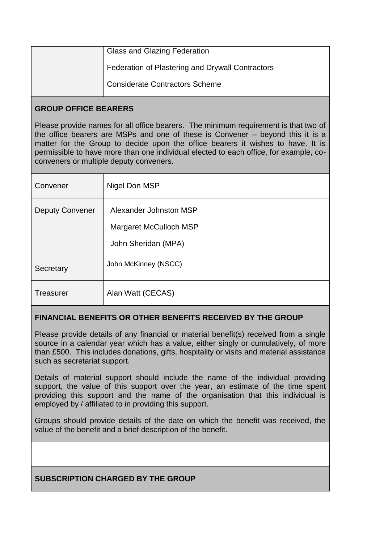| <b>Glass and Glazing Federation</b>              |
|--------------------------------------------------|
| Federation of Plastering and Drywall Contractors |
| <b>Considerate Contractors Scheme</b>            |

#### **GROUP OFFICE BEARERS**

Please provide names for all office bearers. The minimum requirement is that two of the office bearers are MSPs and one of these is Convener – beyond this it is a matter for the Group to decide upon the office bearers it wishes to have. It is permissible to have more than one individual elected to each office, for example, coconveners or multiple deputy conveners.

| Convener               | Nigel Don MSP                                                           |
|------------------------|-------------------------------------------------------------------------|
| <b>Deputy Convener</b> | Alexander Johnston MSP<br>Margaret McCulloch MSP<br>John Sheridan (MPA) |
| Secretary              | John McKinney (NSCC)                                                    |
| <b>Treasurer</b>       | Alan Watt (CECAS)                                                       |

# **FINANCIAL BENEFITS OR OTHER BENEFITS RECEIVED BY THE GROUP**

Please provide details of any financial or material benefit(s) received from a single source in a calendar year which has a value, either singly or cumulatively, of more than £500. This includes donations, gifts, hospitality or visits and material assistance such as secretariat support.

Details of material support should include the name of the individual providing support, the value of this support over the year, an estimate of the time spent providing this support and the name of the organisation that this individual is employed by / affiliated to in providing this support.

Groups should provide details of the date on which the benefit was received, the value of the benefit and a brief description of the benefit.

# **SUBSCRIPTION CHARGED BY THE GROUP**